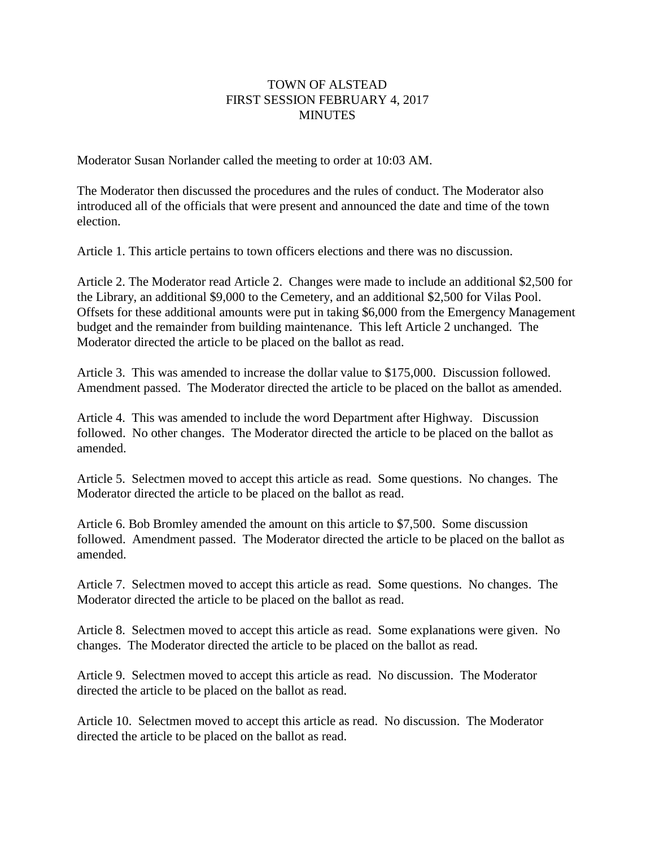## TOWN OF ALSTEAD FIRST SESSION FEBRUARY 4, 2017 **MINUTES**

Moderator Susan Norlander called the meeting to order at 10:03 AM.

The Moderator then discussed the procedures and the rules of conduct. The Moderator also introduced all of the officials that were present and announced the date and time of the town election.

Article 1. This article pertains to town officers elections and there was no discussion.

Article 2. The Moderator read Article 2. Changes were made to include an additional \$2,500 for the Library, an additional \$9,000 to the Cemetery, and an additional \$2,500 for Vilas Pool. Offsets for these additional amounts were put in taking \$6,000 from the Emergency Management budget and the remainder from building maintenance. This left Article 2 unchanged. The Moderator directed the article to be placed on the ballot as read.

Article 3. This was amended to increase the dollar value to \$175,000. Discussion followed. Amendment passed. The Moderator directed the article to be placed on the ballot as amended.

Article 4. This was amended to include the word Department after Highway. Discussion followed. No other changes. The Moderator directed the article to be placed on the ballot as amended.

Article 5. Selectmen moved to accept this article as read. Some questions. No changes. The Moderator directed the article to be placed on the ballot as read.

Article 6. Bob Bromley amended the amount on this article to \$7,500. Some discussion followed. Amendment passed. The Moderator directed the article to be placed on the ballot as amended.

Article 7. Selectmen moved to accept this article as read. Some questions. No changes. The Moderator directed the article to be placed on the ballot as read.

Article 8. Selectmen moved to accept this article as read. Some explanations were given. No changes. The Moderator directed the article to be placed on the ballot as read.

Article 9. Selectmen moved to accept this article as read. No discussion. The Moderator directed the article to be placed on the ballot as read.

Article 10. Selectmen moved to accept this article as read. No discussion. The Moderator directed the article to be placed on the ballot as read.